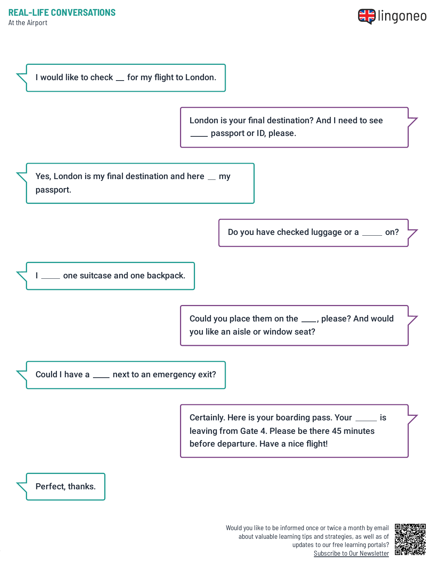At the Airport